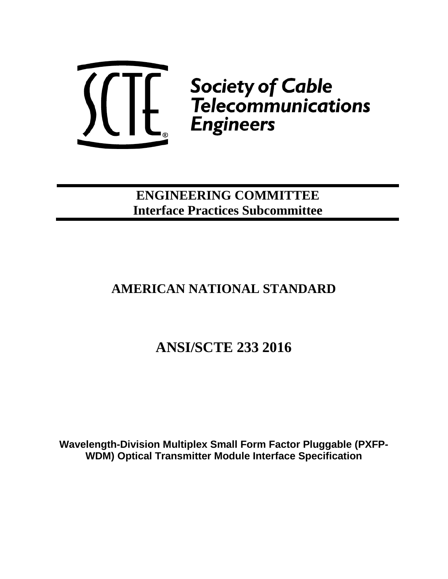

**ENGINEERING COMMITTEE Interface Practices Subcommittee**

# **AMERICAN NATIONAL STANDARD**

# **ANSI/SCTE 233 2016**

**Wavelength-Division Multiplex Small Form Factor Pluggable (PXFP-WDM) Optical Transmitter Module Interface Specification**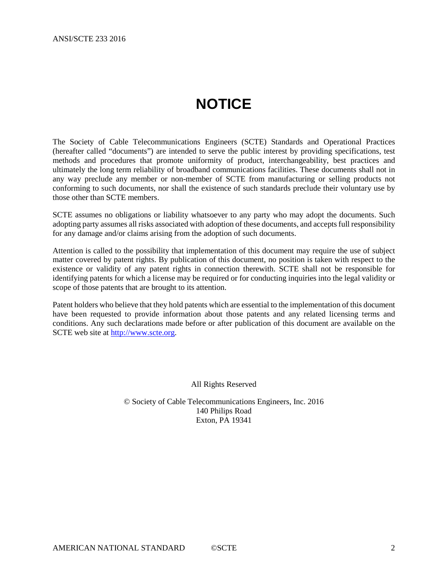# **NOTICE**

<span id="page-1-0"></span>The Society of Cable Telecommunications Engineers (SCTE) Standards and Operational Practices (hereafter called "documents") are intended to serve the public interest by providing specifications, test methods and procedures that promote uniformity of product, interchangeability, best practices and ultimately the long term reliability of broadband communications facilities. These documents shall not in any way preclude any member or non-member of SCTE from manufacturing or selling products not conforming to such documents, nor shall the existence of such standards preclude their voluntary use by those other than SCTE members.

SCTE assumes no obligations or liability whatsoever to any party who may adopt the documents. Such adopting party assumes all risks associated with adoption of these documents, and accepts full responsibility for any damage and/or claims arising from the adoption of such documents.

Attention is called to the possibility that implementation of this document may require the use of subject matter covered by patent rights. By publication of this document, no position is taken with respect to the existence or validity of any patent rights in connection therewith. SCTE shall not be responsible for identifying patents for which a license may be required or for conducting inquiries into the legal validity or scope of those patents that are brought to its attention.

Patent holders who believe that they hold patents which are essential to the implementation of this document have been requested to provide information about those patents and any related licensing terms and conditions. Any such declarations made before or after publication of this document are available on the SCTE web site at [http://www.scte.org.](http://www.scte.org/)

All Rights Reserved

© Society of Cable Telecommunications Engineers, Inc. 2016 140 Philips Road Exton, PA 19341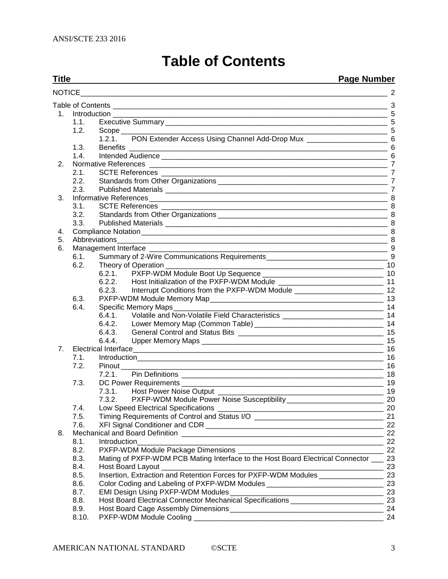# **Table of Contents**

#### <span id="page-2-0"></span>**Title Page Number** [NOTICE\\_\\_\\_\\_\\_\\_\\_\\_\\_\\_\\_\\_\\_\\_\\_\\_\\_\\_\\_\\_\\_\\_\\_\\_\\_\\_\\_\\_\\_\\_\\_\\_\\_\\_\\_\\_\\_\\_\\_\\_\\_\\_\\_\\_\\_\\_\\_\\_\\_\\_\\_\\_\\_\\_\\_\\_\\_\\_\\_\\_\\_\\_\\_\\_\\_\\_\\_\\_\\_\\_\\_\\_\\_\\_\\_\\_](#page-1-0) 2 Table of Contents [\\_\\_\\_\\_\\_\\_\\_\\_\\_\\_\\_\\_\\_\\_\\_\\_\\_\\_\\_\\_\\_\\_\\_\\_\\_\\_\\_\\_\\_\\_\\_\\_\\_\\_\\_\\_\\_\\_\\_\\_\\_\\_\\_\\_\\_\\_\\_\\_\\_\\_\\_\\_\\_\\_\\_\\_\\_\\_\\_\\_\\_\\_\\_\\_\\_\\_\\_\\_](#page-2-0) 3 1. Introduction [\\_\\_\\_\\_\\_\\_\\_\\_\\_\\_\\_\\_\\_\\_\\_\\_\\_\\_\\_\\_\\_\\_\\_\\_\\_\\_\\_\\_\\_\\_\\_\\_\\_\\_\\_\\_\\_\\_\\_\\_\\_\\_\\_\\_\\_\\_\\_\\_\\_\\_\\_\\_\\_\\_\\_\\_\\_\\_\\_\\_\\_\\_\\_\\_\\_\\_\\_\\_](#page-4-0) 5 1.1. Executive Summary [\\_\\_\\_\\_\\_\\_\\_\\_\\_\\_\\_\\_\\_\\_\\_\\_\\_\\_\\_\\_\\_\\_\\_\\_\\_\\_\\_\\_\\_\\_\\_\\_\\_\\_\\_\\_\\_\\_\\_\\_\\_\\_\\_\\_\\_\\_\\_\\_\\_\\_\\_\\_\\_\\_\\_](#page-4-1) 5 1.2. Scope [\\_\\_\\_\\_\\_\\_\\_\\_\\_\\_\\_\\_\\_\\_\\_\\_\\_\\_\\_\\_\\_\\_\\_\\_\\_\\_\\_\\_\\_\\_\\_\\_\\_\\_\\_\\_\\_\\_\\_\\_\\_\\_\\_\\_\\_\\_\\_\\_\\_\\_\\_\\_\\_\\_\\_\\_\\_\\_\\_\\_\\_\\_\\_\\_\\_\\_](#page-4-2) 5 1.2.1. [PON Extender Access Using Channel Add-Drop Mux](#page-5-0) \_\_\_\_\_\_\_\_\_\_\_\_\_\_\_\_\_\_\_\_\_\_\_\_6 1.3. Benefits [\\_\\_\\_\\_\\_\\_\\_\\_\\_\\_\\_\\_\\_\\_\\_\\_\\_\\_\\_\\_\\_\\_\\_\\_\\_\\_\\_\\_\\_\\_\\_\\_\\_\\_\\_\\_\\_\\_\\_\\_\\_\\_\\_\\_\\_\\_\\_\\_\\_\\_\\_\\_\\_\\_\\_\\_\\_\\_\\_\\_\\_\\_\\_\\_](#page-5-1) 6 1.4. Intended Audience [\\_\\_\\_\\_\\_\\_\\_\\_\\_\\_\\_\\_\\_\\_\\_\\_\\_\\_\\_\\_\\_\\_\\_\\_\\_\\_\\_\\_\\_\\_\\_\\_\\_\\_\\_\\_\\_\\_\\_\\_\\_\\_\\_\\_\\_\\_\\_\\_\\_\\_\\_\\_\\_\\_\\_\\_](#page-5-2) 6 2. Normative References [\\_\\_\\_\\_\\_\\_\\_\\_\\_\\_\\_\\_\\_\\_\\_\\_\\_\\_\\_\\_\\_\\_\\_\\_\\_\\_\\_\\_\\_\\_\\_\\_\\_\\_\\_\\_\\_\\_\\_\\_\\_\\_\\_\\_\\_\\_\\_\\_\\_\\_\\_\\_\\_\\_\\_\\_\\_\\_\\_](#page-6-0) 7 2.1. SCTE References<br>
2.2. Standards from Other Organizations<br>
7 2.2. Standards from Other Organizations [\\_\\_\\_\\_\\_\\_\\_\\_\\_\\_\\_\\_\\_\\_\\_\\_\\_\\_\\_\\_\\_\\_\\_\\_\\_\\_\\_\\_\\_\\_\\_\\_\\_\\_\\_\\_\\_\\_\\_\\_\\_\\_](#page-6-2) 7 2.3. Published Materials [\\_\\_\\_\\_\\_\\_\\_\\_\\_\\_\\_\\_\\_\\_\\_\\_\\_\\_\\_\\_\\_\\_\\_\\_\\_\\_\\_\\_\\_\\_\\_\\_\\_\\_\\_\\_\\_\\_\\_\\_\\_\\_\\_\\_\\_\\_\\_\\_\\_\\_\\_\\_\\_\\_\\_](#page-6-3) 7 3. Informative References [\\_\\_\\_\\_\\_\\_\\_\\_\\_\\_\\_\\_\\_\\_\\_\\_\\_\\_\\_\\_\\_\\_\\_\\_\\_\\_\\_\\_\\_\\_\\_\\_\\_\\_\\_\\_\\_\\_\\_\\_\\_\\_\\_\\_\\_\\_\\_\\_\\_\\_\\_\\_\\_\\_\\_\\_\\_\\_\\_](#page-7-0) 8 3.1. SCTE References [\\_\\_\\_\\_\\_\\_\\_\\_\\_\\_\\_\\_\\_\\_\\_\\_\\_\\_\\_\\_\\_\\_\\_\\_\\_\\_\\_\\_\\_\\_\\_\\_\\_\\_\\_\\_\\_\\_\\_\\_\\_\\_\\_\\_\\_\\_\\_\\_\\_\\_\\_\\_\\_\\_\\_\\_](#page-7-1) 8 3.2. Standards from Other Organizations [\\_\\_\\_\\_\\_\\_\\_\\_\\_\\_\\_\\_\\_\\_\\_\\_\\_\\_\\_\\_\\_\\_\\_\\_\\_\\_\\_\\_\\_\\_\\_\\_\\_\\_\\_\\_\\_\\_\\_\\_\\_\\_](#page-7-2) 8 3.3. Published Materials **Exercise 2.1 and 2.5 and 2.5 and 2.6 and 2.6 and 2.6 and 2.6 and 2.6 and 3.6 and 3.6 and 3.6 and 3.6 and 3.6 and 3.6 and 3.6 and 3.6 and 3.6 and 3.6 and 3.6 and 3.7 and 3.7 and 3.7 and 3.7 and 3.7** 4. [Compliance Notation\\_\\_\\_\\_\\_\\_\\_\\_\\_\\_\\_\\_\\_\\_\\_\\_\\_\\_\\_\\_\\_\\_\\_\\_\\_\\_\\_\\_\\_\\_\\_\\_\\_\\_\\_\\_\\_\\_\\_\\_\\_\\_\\_\\_\\_\\_\\_\\_\\_\\_\\_\\_\\_\\_\\_\\_\\_\\_\\_\\_\\_](#page-7-4) 8 5. [Abbreviations\\_\\_\\_\\_\\_\\_\\_\\_\\_\\_\\_\\_\\_\\_\\_\\_\\_\\_\\_\\_\\_\\_\\_\\_\\_\\_\\_\\_\\_\\_\\_\\_\\_\\_\\_\\_\\_\\_\\_\\_\\_\\_\\_\\_\\_\\_\\_\\_\\_\\_\\_\\_\\_\\_\\_\\_\\_\\_\\_\\_\\_\\_\\_\\_\\_\\_\\_](#page-7-5) 8 6. Management Interface [\\_\\_\\_\\_\\_\\_\\_\\_\\_\\_\\_\\_\\_\\_\\_\\_\\_\\_\\_\\_\\_\\_\\_\\_\\_\\_\\_\\_\\_\\_\\_\\_\\_\\_\\_\\_\\_\\_\\_\\_\\_\\_\\_\\_\\_\\_\\_\\_\\_\\_\\_\\_\\_\\_\\_\\_\\_\\_\\_](#page-8-0) 9 6.1. [Summary of 2-Wire Communications Requirements\\_\\_\\_\\_\\_\\_\\_\\_\\_\\_\\_\\_\\_\\_\\_\\_\\_\\_\\_\\_\\_\\_\\_\\_\\_\\_\\_\\_\\_\\_](#page-8-1) 9 6.2. Theory of Operation [\\_\\_\\_\\_\\_\\_\\_\\_\\_\\_\\_\\_\\_\\_\\_\\_\\_\\_\\_\\_\\_\\_\\_\\_\\_\\_\\_\\_\\_\\_\\_\\_\\_\\_\\_\\_\\_\\_\\_\\_\\_\\_\\_\\_\\_\\_\\_\\_\\_\\_\\_\\_\\_\\_](#page-9-0) 10 6.2.1. [PXFP-WDM Module Boot Up Sequence](#page-9-1) \_\_\_\_\_\_\_\_\_\_\_\_\_\_\_\_\_\_\_\_\_\_\_\_\_\_\_\_\_\_ 10 6.2.2. [Host Initialization of the PXFP-WDM Module](#page-10-0) \_\_\_\_\_\_\_\_\_\_\_\_\_\_\_\_\_\_\_\_\_\_\_\_\_\_ 11 [Interrupt Conditions from the PXFP-WDM Module](#page-11-0) \_\_\_\_\_\_\_\_\_\_\_\_\_\_\_\_\_\_\_\_\_\_\_\_\_ 12 6.3. [PXFP-WDM Module Memory Map\\_\\_\\_\\_\\_\\_\\_\\_\\_\\_\\_\\_\\_\\_\\_\\_\\_\\_\\_\\_\\_\\_\\_\\_\\_\\_\\_\\_\\_\\_\\_\\_\\_\\_\\_\\_\\_\\_\\_\\_\\_\\_\\_](#page-12-0) 13 6.4. [Specific Memory Maps\\_\\_\\_\\_\\_\\_\\_\\_\\_\\_\\_\\_\\_\\_\\_\\_\\_\\_\\_\\_\\_\\_\\_\\_\\_\\_\\_\\_\\_\\_\\_\\_\\_\\_\\_\\_\\_\\_\\_\\_\\_\\_\\_\\_\\_\\_\\_\\_\\_\\_\\_\\_](#page-13-0) 14 6.4.1. [Volatile and Non-Volatile Field Characteristics](#page-13-1) \_\_\_\_\_\_\_\_\_\_\_\_\_\_\_\_\_\_\_\_\_\_\_\_\_ 14 Lower Memory Map (Common Table)  $14$ 6.4.3. General Control and Status Bits [\\_\\_\\_\\_\\_\\_\\_\\_\\_\\_\\_\\_\\_\\_\\_\\_\\_\\_\\_\\_\\_\\_\\_\\_\\_\\_\\_\\_\\_\\_\\_\\_\\_\\_\\_\\_](#page-14-0) 15 6.4.4. Upper Memory Maps [\\_\\_\\_\\_\\_\\_\\_\\_\\_\\_\\_\\_\\_\\_\\_\\_\\_\\_\\_\\_\\_\\_\\_\\_\\_\\_\\_\\_\\_\\_\\_\\_\\_\\_\\_\\_\\_\\_\\_\\_\\_\\_\\_\\_\\_](#page-14-1) 15 7. Electrical Interface 10 and the contract of the contract of the contract of the contract of the contract of the contract of the contract of the contract of the contract of the contract of the contract of the contract of 7.1. [Introduction\\_\\_\\_\\_\\_\\_\\_\\_\\_\\_\\_\\_\\_\\_\\_\\_\\_\\_\\_\\_\\_\\_\\_\\_\\_\\_\\_\\_\\_\\_\\_\\_\\_\\_\\_\\_\\_\\_\\_\\_\\_\\_\\_\\_\\_\\_\\_\\_\\_\\_\\_\\_\\_\\_\\_\\_\\_\\_\\_\\_\\_](#page-15-1) 16 7.2. Pinout [\\_\\_\\_\\_\\_\\_\\_\\_\\_\\_\\_\\_\\_\\_\\_\\_\\_\\_\\_\\_\\_\\_\\_\\_\\_\\_\\_\\_\\_\\_\\_\\_\\_\\_\\_\\_\\_\\_\\_\\_\\_\\_\\_\\_\\_\\_\\_\\_\\_\\_\\_\\_\\_\\_\\_\\_\\_\\_\\_\\_\\_\\_\\_\\_\\_](#page-15-2) 16 7.2.1. Pin Definitions [\\_\\_\\_\\_\\_\\_\\_\\_\\_\\_\\_\\_\\_\\_\\_\\_\\_\\_\\_\\_\\_\\_\\_\\_\\_\\_\\_\\_\\_\\_\\_\\_\\_\\_\\_\\_\\_\\_\\_\\_\\_\\_\\_\\_\\_\\_\\_\\_\\_\\_](#page-17-0) 18 7.3. DC Power Requirements [\\_\\_\\_\\_\\_\\_\\_\\_\\_\\_\\_\\_\\_\\_\\_\\_\\_\\_\\_\\_\\_\\_\\_\\_\\_\\_\\_\\_\\_\\_\\_\\_\\_\\_\\_\\_\\_\\_\\_\\_\\_\\_\\_\\_\\_\\_\\_\\_\\_\\_](#page-18-0) 19 7.3.1. Host Power Noise Output [\\_\\_\\_\\_\\_\\_\\_\\_\\_\\_\\_\\_\\_\\_\\_\\_\\_\\_\\_\\_\\_\\_\\_\\_\\_\\_\\_\\_\\_\\_\\_\\_\\_\\_\\_\\_\\_\\_\\_\\_\\_](#page-18-1) 19 7.3.2. [PXFP-WDM Module Power Noise Susceptibility\\_\\_\\_\\_\\_\\_\\_\\_\\_\\_\\_\\_\\_\\_\\_\\_\\_\\_\\_\\_\\_\\_\\_\\_](#page-19-0)\_\_\_\_\_\_ 20 7.4. Low Speed Electrical Specifications [\\_\\_\\_\\_\\_\\_\\_\\_\\_\\_\\_\\_\\_\\_\\_\\_\\_\\_\\_\\_\\_\\_\\_\\_\\_\\_\\_\\_\\_\\_\\_\\_\\_\\_\\_\\_\\_\\_\\_\\_\\_](#page-19-1) 20 7.5. [Timing Requirements of Control and Status I/O](#page-20-0) \_\_\_\_\_\_\_\_\_\_\_\_\_\_\_\_\_\_\_\_\_\_\_\_\_\_\_\_\_\_\_\_ 21 7.6. XFI Signal Conditioner and CDR [\\_\\_\\_\\_\\_\\_\\_\\_\\_\\_\\_\\_\\_\\_\\_\\_\\_\\_\\_\\_\\_\\_\\_\\_\\_\\_\\_\\_\\_\\_\\_\\_\\_\\_\\_\\_\\_\\_\\_\\_\\_\\_\\_\\_](#page-21-0) 22 8. Mechanical and Board Definition [\\_\\_\\_\\_\\_\\_\\_\\_\\_\\_\\_\\_\\_\\_\\_\\_\\_\\_\\_\\_\\_\\_\\_\\_\\_\\_\\_\\_\\_\\_\\_\\_\\_\\_\\_\\_\\_\\_\\_\\_\\_\\_\\_\\_\\_\\_\\_\\_\\_\\_](#page-21-1) 22 8.1. [Introduction\\_\\_\\_\\_\\_\\_\\_\\_\\_\\_\\_\\_\\_\\_\\_\\_\\_\\_\\_\\_\\_\\_\\_\\_\\_\\_\\_\\_\\_\\_\\_\\_\\_\\_\\_\\_\\_\\_\\_\\_\\_\\_\\_\\_\\_\\_\\_\\_\\_\\_\\_\\_\\_\\_\\_\\_\\_\\_\\_\\_\\_](#page-21-2) 22 8.2. PXFP-WDM Module Package Dimensions <br>8.3. Mating of PXFP-WDM PCB Mating Interface to the Host Board Electrical Connector 23 [Mating of PXFP-WDM PCB Mating Interface to the Host Board Electrical Connector](#page-22-0) \_\_\_ 23 8.4. Host Board Layout [\\_\\_\\_\\_\\_\\_\\_\\_\\_\\_\\_\\_\\_\\_\\_\\_\\_\\_\\_\\_\\_\\_\\_\\_\\_\\_\\_\\_\\_\\_\\_\\_\\_\\_\\_\\_\\_\\_\\_\\_\\_\\_\\_\\_\\_\\_\\_\\_\\_\\_\\_\\_\\_\\_\\_](#page-22-1) 23 8.5. [Insertion, Extraction and Retention Forces for PXFP-WDM Modules](#page-22-2) \_\_\_\_\_\_\_\_\_\_\_\_\_\_\_\_ 23 8.6. [Color Coding and Labeling of PXFP-WDM Modules](#page-22-3) \_\_\_\_\_\_\_\_\_\_\_\_\_\_\_\_\_\_\_\_\_\_\_\_\_\_\_\_\_ 23 8.7. EMI Design Using PXFP-WDM Modules [\\_\\_\\_\\_\\_\\_\\_\\_\\_\\_\\_\\_\\_\\_\\_\\_\\_\\_\\_\\_\\_\\_\\_\\_\\_\\_\\_\\_\\_\\_\\_\\_\\_\\_\\_\\_\\_\\_](#page-22-4) 23 8.8. [Host Board Electrical Connector Mechanical Specifications](#page-22-5) \_\_\_\_\_\_\_\_\_\_\_\_\_\_\_\_\_\_\_\_\_\_\_ 23 8.9. Host Board Cage Assembly Dimensions [\\_\\_\\_\\_\\_\\_\\_\\_\\_\\_\\_\\_\\_\\_\\_\\_\\_\\_\\_\\_\\_\\_\\_\\_\\_\\_\\_\\_\\_\\_\\_\\_\\_\\_\\_\\_\\_\\_](#page-23-0) 24

8.10. PXFP-WDM Module Cooling [\\_\\_\\_\\_\\_\\_\\_\\_\\_\\_\\_\\_\\_\\_\\_\\_\\_\\_\\_\\_\\_\\_\\_\\_\\_\\_\\_\\_\\_\\_\\_\\_\\_\\_\\_\\_\\_\\_\\_\\_\\_\\_\\_\\_\\_\\_\\_](#page-23-1) 24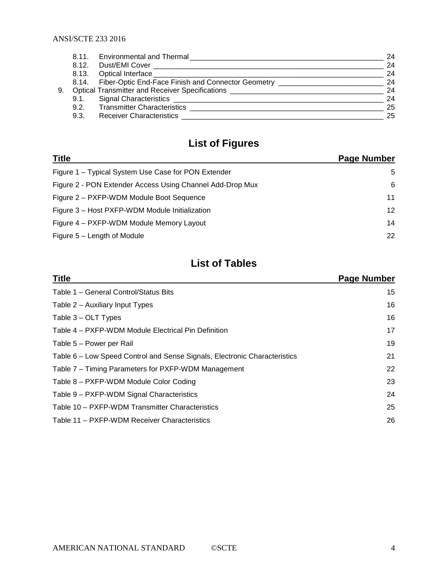|    | 8.11. | <b>Environmental and Thermal</b>                                                                                                                                                                                                     | 24 |
|----|-------|--------------------------------------------------------------------------------------------------------------------------------------------------------------------------------------------------------------------------------------|----|
|    | 8.12. | Dust/EMI Cover                                                                                                                                                                                                                       | 24 |
|    | 8.13. | Optical Interface ___                                                                                                                                                                                                                | 24 |
|    |       | 8.14. Fiber-Optic End-Face Finish and Connector Geometry _________________                                                                                                                                                           | 24 |
| 9. |       | Optical Transmitter and Receiver Specifications <b>Constanting Constanting Constanting Constanting Constanting Constanting Constanting Constanting Constanting Constanting Constanting Constanting Constanting Constanting Const</b> | 24 |
|    | 9.1.  |                                                                                                                                                                                                                                      | 24 |
|    | 9.2.  | <b>Transmitter Characteristics</b>                                                                                                                                                                                                   | 25 |
|    | 9.3.  | <b>Receiver Characteristics</b>                                                                                                                                                                                                      | 25 |
|    |       |                                                                                                                                                                                                                                      |    |

# **List of Figures**

| <b>Title</b>                                              | Page Number     |
|-----------------------------------------------------------|-----------------|
| Figure 1 – Typical System Use Case for PON Extender       | 5               |
| Figure 2 - PON Extender Access Using Channel Add-Drop Mux | 6               |
| Figure 2 – PXFP-WDM Module Boot Sequence                  | 11              |
| Figure 3 - Host PXFP-WDM Module Initialization            | 12 <sup>2</sup> |
| Figure 4 – PXFP-WDM Module Memory Layout                  | 14              |
| Figure 5 - Length of Module                               | 22              |

# **List of Tables**

| <b>Title</b>                                                              | Page Number |
|---------------------------------------------------------------------------|-------------|
| Table 1 - General Control/Status Bits                                     | 15          |
| Table 2 – Auxiliary Input Types                                           | 16          |
| Table 3 – OLT Types                                                       | 16          |
| Table 4 – PXFP-WDM Module Electrical Pin Definition                       | 17          |
| Table 5 - Power per Rail                                                  | 19          |
| Table 6 – Low Speed Control and Sense Signals, Electronic Characteristics | 21          |
| Table 7 – Timing Parameters for PXFP-WDM Management                       | 22          |
| Table 8 – PXFP-WDM Module Color Coding                                    | 23          |
| Table 9 - PXFP-WDM Signal Characteristics                                 | 24          |
| Table 10 – PXFP-WDM Transmitter Characteristics                           | 25          |
| Table 11 – PXFP-WDM Receiver Characteristics                              | 26          |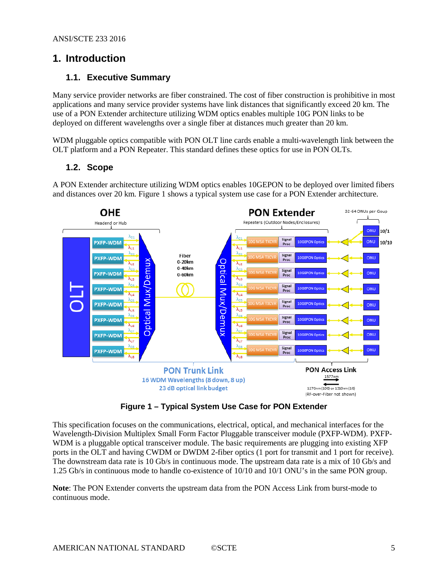# <span id="page-4-0"></span>**1. Introduction**

## <span id="page-4-1"></span>**1.1. Executive Summary**

Many service provider networks are fiber constrained. The cost of fiber construction is prohibitive in most applications and many service provider systems have link distances that significantly exceed 20 km. The use of a PON Extender architecture utilizing WDM optics enables multiple 10G PON links to be deployed on different wavelengths over a single fiber at distances much greater than 20 km.

WDM pluggable optics compatible with PON OLT line cards enable a multi-wavelength link between the OLT platform and a PON Repeater. This standard defines these optics for use in PON OLTs.

#### <span id="page-4-2"></span>**1.2. Scope**

A PON Extender architecture utilizing WDM optics enables 10GEPON to be deployed over limited fibers and distances over 20 km. [Figure 1](#page-4-3) shows a typical system use case for a PON Extender architecture.



**Figure 1 – Typical System Use Case for PON Extender**

<span id="page-4-3"></span>This specification focuses on the communications, electrical, optical, and mechanical interfaces for the Wavelength-Division Multiplex Small Form Factor Pluggable transceiver module (PXFP-WDM). PXFP-WDM is a pluggable optical transceiver module. The basic requirements are plugging into existing XFP ports in the OLT and having CWDM or DWDM 2-fiber optics (1 port for transmit and 1 port for receive). The downstream data rate is 10 Gb/s in continuous mode. The upstream data rate is a mix of 10 Gb/s and 1.25 Gb/s in continuous mode to handle co-existence of 10/10 and 10/1 ONU's in the same PON group.

**Note**: The PON Extender converts the upstream data from the PON Access Link from burst-mode to continuous mode.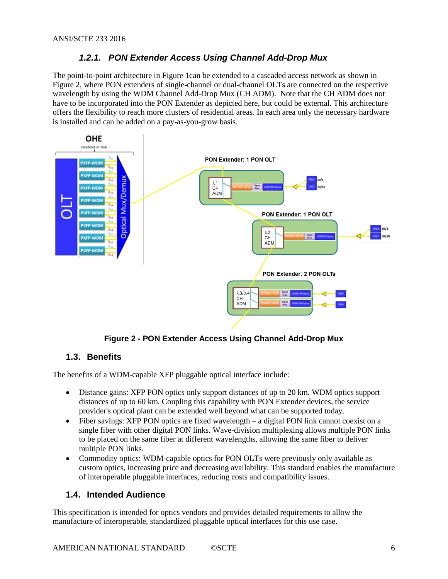## *1.2.1. PON Extender Access Using Channel Add-Drop Mux*

<span id="page-5-0"></span>The point-to-point architecture i[n Figure 1c](#page-4-3)an be extended to a cascaded access network as shown in Figure 2, where PON extenders of single-channel or dual-channel OLTs are connected on the respective wavelength by using the WDM Channel Add-Drop Mux (CH ADM). Note that the CH ADM does not have to be incorporated into the PON Extender as depicted here, but could be external. This architecture offers the flexibility to reach more clusters of residential areas. In each area only the necessary hardware is installed and can be added on a pay-as-you-grow basis.



**Figure 2 - PON Extender Access Using Channel Add-Drop Mux**

### <span id="page-5-3"></span><span id="page-5-1"></span>**1.3. Benefits**

The benefits of a WDM-capable XFP pluggable optical interface include:

- Distance gains: XFP PON optics only support distances of up to 20 km. WDM optics support distances of up to 60 km. Coupling this capability with PON Extender devices, the service provider's optical plant can be extended well beyond what can be supported today.
- Fiber savings: XFP PON optics are fixed wavelength a digital PON link cannot coexist on a single fiber with other digital PON links. Wave-division multiplexing allows multiple PON links to be placed on the same fiber at different wavelengths, allowing the same fiber to deliver multiple PON links.
- Commodity optics: WDM-capable optics for PON OLTs were previously only available as custom optics, increasing price and decreasing availability. This standard enables the manufacture of interoperable pluggable interfaces, reducing costs and compatibility issues.

### <span id="page-5-2"></span>**1.4. Intended Audience**

This specification is intended for optics vendors and provides detailed requirements to allow the manufacture of interoperable, standardized pluggable optical interfaces for this use case.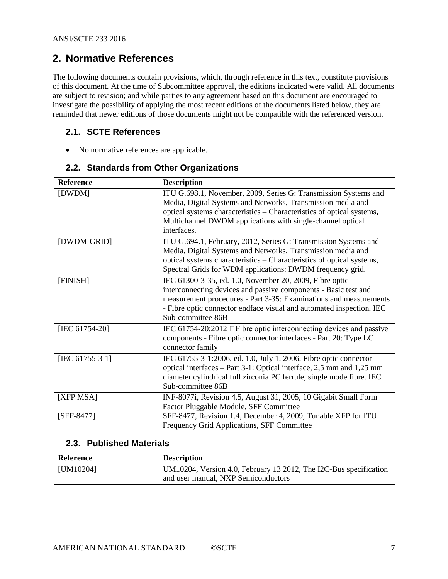# <span id="page-6-0"></span>**2. Normative References**

The following documents contain provisions, which, through reference in this text, constitute provisions of this document. At the time of Subcommittee approval, the editions indicated were valid. All documents are subject to revision; and while parties to any agreement based on this document are encouraged to investigate the possibility of applying the most recent editions of the documents listed below, they are reminded that newer editions of those documents might not be compatible with the referenced version.

## <span id="page-6-1"></span>**2.1. SCTE References**

• No normative references are applicable.

#### <span id="page-6-11"></span><span id="page-6-10"></span><span id="page-6-8"></span>**Reference Description** [DWDM] ITU G.698.1, November, 2009, Series G: Transmission Systems and Media, Digital Systems and Networks, Transmission media and optical systems characteristics – Characteristics of optical systems, Multichannel DWDM applications with single-channel optical interfaces. [DWDM-GRID] ITU G.694.1, February, 2012, Series G: Transmission Systems and Media, Digital Systems and Networks, Transmission media and optical systems characteristics – Characteristics of optical systems, Spectral Grids for WDM applications: DWDM frequency grid. [FINISH] IEC 61300-3-35, ed. 1.0, November 20, 2009, Fibre optic interconnecting devices and passive components - Basic test and measurement procedures - Part 3-35: Examinations and measurements - Fibre optic connector endface visual and automated inspection, IEC Sub-committee 86B [IEC 61754-20] IEC 61754-20:2012 Fibre optic interconnecting devices and passive components - Fibre optic connector interfaces - Part 20: Type LC connector family [IEC 61755-3-1] IEC 61755-3-1:2006, ed. 1.0, July 1, 2006, Fibre optic connector optical interfaces – Part 3-1: Optical interface, 2,5 mm and 1,25 mm diameter cylindrical full zirconia PC ferrule, single mode fibre. IEC Sub-committee 86B [XFP MSA] INF-8077i, Revision 4.5, August 31, 2005, 10 Gigabit Small Form Factor Pluggable Module, SFF Committee [SFF-8477] SFF-8477, Revision 1.4, December 4, 2009, Tunable XFP for ITU Frequency Grid Applications, SFF Committee

## <span id="page-6-2"></span>**2.2. Standards from Other Organizations**

### <span id="page-6-9"></span><span id="page-6-7"></span><span id="page-6-6"></span><span id="page-6-4"></span><span id="page-6-3"></span>**2.3. Published Materials**

<span id="page-6-5"></span>

| Reference     | <b>Description</b>                                                                                       |
|---------------|----------------------------------------------------------------------------------------------------------|
| $ $ [UM10204] | UM10204, Version 4.0, February 13 2012, The I2C-Bus specification<br>and user manual, NXP Semiconductors |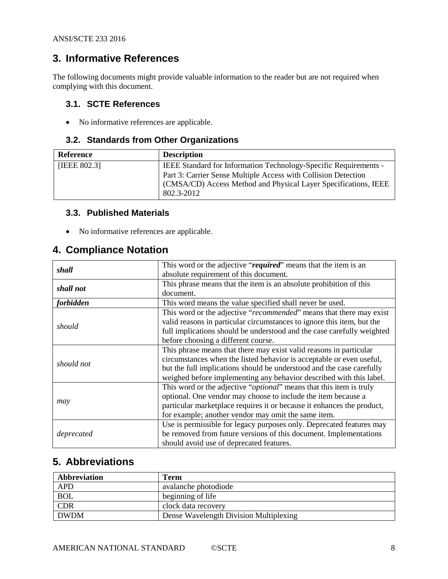# <span id="page-7-0"></span>**3. Informative References**

The following documents might provide valuable information to the reader but are not required when complying with this document.

### <span id="page-7-1"></span>**3.1. SCTE References**

• No informative references are applicable.

### <span id="page-7-2"></span>**3.2. Standards from Other Organizations**

<span id="page-7-6"></span>

| <b>Reference</b> | <b>Description</b>                                                                                                                                                                                                  |
|------------------|---------------------------------------------------------------------------------------------------------------------------------------------------------------------------------------------------------------------|
| [IEEE 802.3]     | IEEE Standard for Information Technology-Specific Requirements -<br>Part 3: Carrier Sense Multiple Access with Collision Detection<br>(CMSA/CD) Access Method and Physical Layer Specifications, IEEE<br>802.3-2012 |

#### <span id="page-7-3"></span>**3.3. Published Materials**

• No informative references are applicable.

# <span id="page-7-4"></span>**4. Compliance Notation**

| shall            | This word or the adjective "required" means that the item is an              |
|------------------|------------------------------------------------------------------------------|
|                  | absolute requirement of this document.                                       |
|                  | This phrase means that the item is an absolute prohibition of this           |
| shall not        | document.                                                                    |
| <i>forbidden</i> | This word means the value specified shall never be used.                     |
|                  | This word or the adjective "recommended" means that there may exist          |
| should           | valid reasons in particular circumstances to ignore this item, but the       |
|                  | full implications should be understood and the case carefully weighted       |
|                  | before choosing a different course.                                          |
|                  | This phrase means that there may exist valid reasons in particular           |
|                  | circumstances when the listed behavior is acceptable or even useful,         |
| should not       | but the full implications should be understood and the case carefully        |
|                  | weighed before implementing any behavior described with this label.          |
|                  | This word or the adjective " <i>optional</i> " means that this item is truly |
|                  | optional. One vendor may choose to include the item because a                |
| may              | particular marketplace requires it or because it enhances the product,       |
|                  | for example; another vendor may omit the same item.                          |
|                  | Use is permissible for legacy purposes only. Deprecated features may         |
| deprecated       | be removed from future versions of this document. Implementations            |
|                  | should avoid use of deprecated features.                                     |

# <span id="page-7-5"></span>**5. Abbreviations**

| Abbreviation | Term                                   |
|--------------|----------------------------------------|
| <b>APD</b>   | avalanche photodiode                   |
| <b>BOL</b>   | beginning of life                      |
| <b>CDR</b>   | clock data recovery                    |
| <b>DWDM</b>  | Dense Wavelength Division Multiplexing |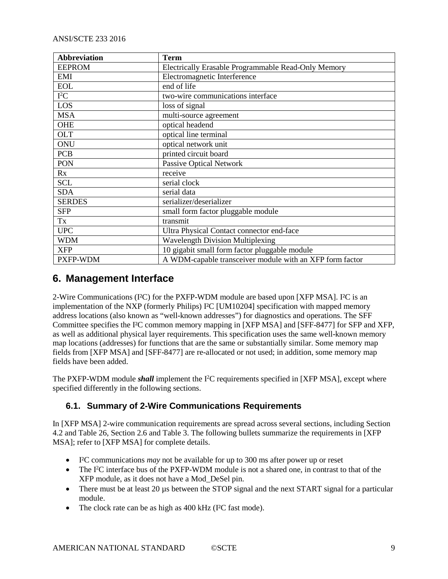| <b>Abbreviation</b> | <b>Term</b>                                              |
|---------------------|----------------------------------------------------------|
| <b>EEPROM</b>       | Electrically Erasable Programmable Read-Only Memory      |
| <b>EMI</b>          | Electromagnetic Interference                             |
| <b>EOL</b>          | end of life                                              |
| $I^2C$              | two-wire communications interface                        |
| LOS                 | loss of signal                                           |
| <b>MSA</b>          | multi-source agreement                                   |
| <b>OHE</b>          | optical headend                                          |
| <b>OLT</b>          | optical line terminal                                    |
| ONU                 | optical network unit                                     |
| <b>PCB</b>          | printed circuit board                                    |
| PON                 | <b>Passive Optical Network</b>                           |
| Rx                  | receive                                                  |
| <b>SCL</b>          | serial clock                                             |
| <b>SDA</b>          | serial data                                              |
| <b>SERDES</b>       | serializer/deserializer                                  |
| <b>SFP</b>          | small form factor pluggable module                       |
| Tx                  | transmit                                                 |
| <b>UPC</b>          | Ultra Physical Contact connector end-face                |
| <b>WDM</b>          | <b>Wavelength Division Multiplexing</b>                  |
| <b>XFP</b>          | 10 gigabit small form factor pluggable module            |
| PXFP-WDM            | A WDM-capable transceiver module with an XFP form factor |

# <span id="page-8-0"></span>**6. Management Interface**

2-Wire Communications (I²C) for the PXFP-WDM module are based upon [\[XFP MSA\].](#page-6-4) I²C is an implementation of the NXP (formerly Philips) I²C [\[UM10204\]](#page-6-5) specification with mapped memory address locations (also known as "well-known addresses") for diagnostics and operations. The SFF Committee specifies the I²C common memory mapping in [\[XFP MSA\]](#page-6-4) and [\[SFF-8477\]](#page-6-6) for SFP and XFP, as well as additional physical layer requirements. This specification uses the same well-known memory map locations (addresses) for functions that are the same or substantially similar. Some memory map fields from [\[XFP MSA\]](#page-6-4) and [\[SFF-8477\]](#page-6-6) are re-allocated or not used; in addition, some memory map fields have been added.

The PXFP-WDM module *shall* implement the I<sup>2</sup>C requirements specified in [\[XFP MSA\],](#page-6-4) except where specified differently in the following sections.

# <span id="page-8-1"></span>**6.1. Summary of 2-Wire Communications Requirements**

In [\[XFP MSA\]](#page-6-4) 2-wire communication requirements are spread across several sections, including Section 4.2 and Table 26, Section 2.6 and Table 3. The following bullets summarize the requirements in [\[XFP](#page-6-4)  [MSA\];](#page-6-4) refer to [\[XFP MSA\]](#page-6-4) for complete details.

- I²C communications *may* not be available for up to 300 ms after power up or reset
- The I<sup>2</sup>C interface bus of the PXFP-WDM module is not a shared one, in contrast to that of the XFP module, as it does not have a Mod\_DeSel pin.
- There must be at least 20 us between the STOP signal and the next START signal for a particular module.
- The clock rate can be as high as 400 kHz (I<sup>2</sup>C fast mode).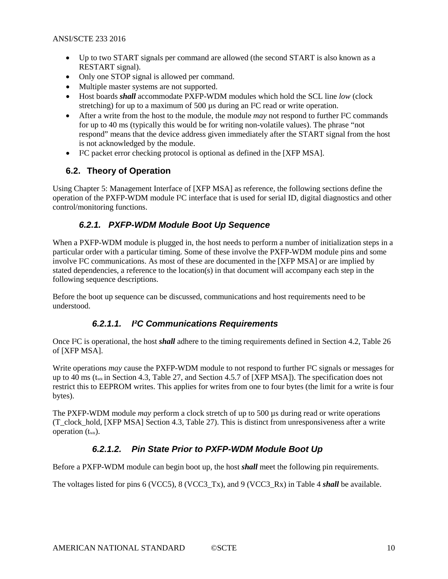- Up to two START signals per command are allowed (the second START is also known as a RESTART signal).
- Only one STOP signal is allowed per command.
- Multiple master systems are not supported.
- Host boards *shall* accommodate PXFP-WDM modules which hold the SCL line *low* (clock stretching) for up to a maximum of 500 µs during an I<sup>2</sup>C read or write operation.
- After a write from the host to the module, the module *may* not respond to further I<sup>2</sup>C commands for up to 40 ms (typically this would be for writing non-volatile values). The phrase "not respond" means that the device address given immediately after the START signal from the host is not acknowledged by the module.
- I²C packet error checking protocol is optional as defined in the [\[XFP MSA\].](#page-6-4)

### <span id="page-9-0"></span>**6.2. Theory of Operation**

Using Chapter 5: Management Interface of [\[XFP MSA\]](#page-6-4) as reference, the following sections define the operation of the PXFP-WDM module I²C interface that is used for serial ID, digital diagnostics and other control/monitoring functions.

### *6.2.1. PXFP-WDM Module Boot Up Sequence*

<span id="page-9-1"></span>When a PXFP-WDM module is plugged in, the host needs to perform a number of initialization steps in a particular order with a particular timing. Some of these involve the PXFP-WDM module pins and some involve I²C communications. As most of these are documented in the [\[XFP MSA\]](#page-6-4) or are implied by stated dependencies, a reference to the location(s) in that document will accompany each step in the following sequence descriptions.

Before the boot up sequence can be discussed, communications and host requirements need to be understood.

### *6.2.1.1. I²C Communications Requirements*

Once I²C is operational, the host *shall* adhere to the timing requirements defined in Section 4.2, Table 26 of [\[XFP MSA\].](#page-6-4)

Write operations *may* cause the PXFP-WDM module to not respond to further I²C signals or messages for up to 40 ms ( $t_{\text{WR}}$  in Section 4.3, Table 27, and Section 4.5.7 o[f \[XFP MSA\]\)](#page-6-4). The specification does not restrict this to EEPROM writes. This applies for writes from one to four bytes (the limit for a write is four bytes).

The PXFP-WDM module *may* perform a clock stretch of up to 500 us during read or write operations (T\_clock\_hold, [\[XFP MSA\]](#page-6-4) Section 4.3, Table 27). This is distinct from unresponsiveness after a write operation  $(t_{WR})$ .

### *6.2.1.2. Pin State Prior to PXFP-WDM Module Boot Up*

Before a PXFP-WDM module can begin boot up, the host *shall* meet the following pin requirements.

The voltages listed for pins 6 (VCC5), 8 (VCC3\_Tx), and 9 (VCC3\_Rx) in [Table 4](#page-16-0) *shall* be available.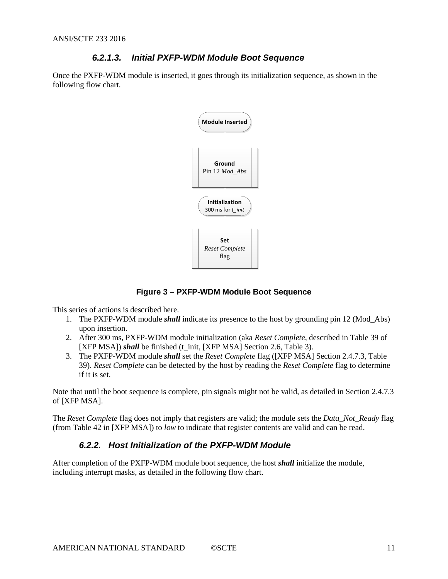### *6.2.1.3. Initial PXFP-WDM Module Boot Sequence*

Once the PXFP-WDM module is inserted, it goes through its initialization sequence, as shown in the following flow chart.



#### **Figure 3 – PXFP-WDM Module Boot Sequence**

<span id="page-10-1"></span>This series of actions is described here.

- 1. The PXFP-WDM module *shall* indicate its presence to the host by grounding pin 12 (Mod\_Abs) upon insertion.
- 2. After 300 ms, PXFP-WDM module initialization (aka *Reset Complete*, described in Table 39 of [\[XFP MSA\]\)](#page-6-4) *shall* be finished (t\_init, [\[XFP MSA\]](#page-6-4) Section 2.6, Table 3).
- 3. The PXFP-WDM module *shall* set the *Reset Complete* flag [\(\[XFP MSA\]](#page-6-4) Section 2.4.7.3, Table 39). *Reset Complete* can be detected by the host by reading the *Reset Complete* flag to determine if it is set.

Note that until the boot sequence is complete, pin signals might not be valid, as detailed in Section 2.4.7.3 of [\[XFP MSA\].](#page-6-4)

<span id="page-10-0"></span>The *Reset Complete* flag does not imply that registers are valid; the module sets the *Data\_Not\_Ready* flag (from Table 42 in [\[XFP MSA\]\)](#page-6-4) to *low* to indicate that register contents are valid and can be read.

### *6.2.2. Host Initialization of the PXFP-WDM Module*

After completion of the PXFP-WDM module boot sequence, the host *shall* initialize the module, including interrupt masks, as detailed in the following flow chart.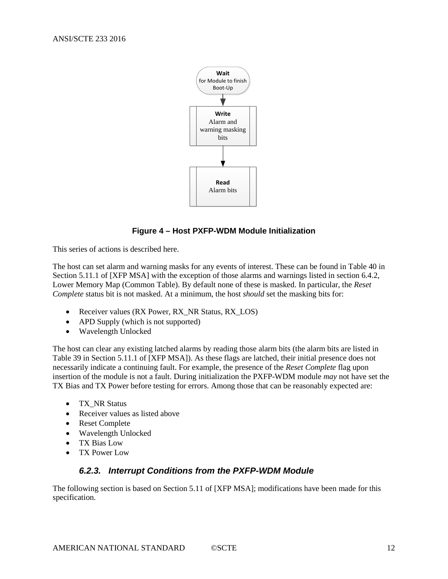

### **Figure 4 – Host PXFP-WDM Module Initialization**

<span id="page-11-1"></span>This series of actions is described here.

The host can set alarm and warning masks for any events of interest. These can be found in Table 40 in Section 5.11.1 of [\[XFP MSA\]](#page-6-4) with the exception of those alarms and warnings listed in section [6.4.2,](#page-13-2) Lower Memory [Map \(Common Table\).](#page-13-2) By default none of these is masked. In particular, the *Reset Complete* status bit is not masked. At a minimum, the host *should* set the masking bits for:

- Receiver values (RX Power, RX\_NR Status, RX\_LOS)
- APD Supply (which is not supported)
- Wavelength Unlocked

The host can clear any existing latched alarms by reading those alarm bits (the alarm bits are listed in Table 39 in Section 5.11.1 of [\[XFP MSA\]\)](#page-6-4). As these flags are latched, their initial presence does not necessarily indicate a continuing fault. For example, the presence of the *Reset Complete* flag upon insertion of the module is not a fault. During initialization the PXFP-WDM module *may* not have set the TX Bias and TX Power before testing for errors. Among those that can be reasonably expected are:

- TX\_NR Status
- Receiver values as listed above
- Reset Complete
- Wavelength Unlocked
- TX Bias Low
- <span id="page-11-0"></span>• TX Power Low

#### *6.2.3. Interrupt Conditions from the PXFP-WDM Module*

The following section is based on Section 5.11 of [\[XFP MSA\];](#page-6-4) modifications have been made for this specification.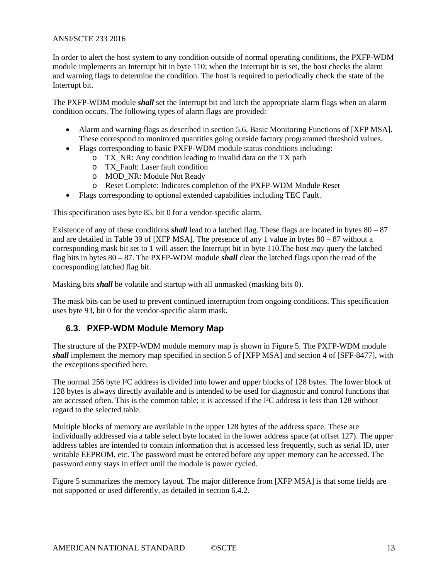In order to alert the host system to any condition outside of normal operating conditions, the PXFP-WDM module implements an Interrupt bit in byte 110; when the Interrupt bit is set, the host checks the alarm and warning flags to determine the condition. The host is required to periodically check the state of the Interrupt bit.

The PXFP-WDM module *shall* set the Interrupt bit and latch the appropriate alarm flags when an alarm condition occurs. The following types of alarm flags are provided:

- Alarm and warning flags as described in section 5.6, Basic Monitoring Functions of [\[XFP MSA\].](#page-6-4) These correspond to monitored quantities going outside factory programmed threshold values.
- Flags corresponding to basic PXFP-WDM module status conditions including:
	- $\overline{X}$  TX NR: Any condition leading to invalid data on the TX path
	- o TX\_Fault: Laser fault condition
	- o MOD\_NR: Module Not Ready
	- o Reset Complete: Indicates completion of the PXFP-WDM Module Reset
- Flags corresponding to optional extended capabilities including TEC Fault.

This specification uses byte 85, bit 0 for a vendor-specific alarm.

Existence of any of these conditions *shall* lead to a latched flag. These flags are located in bytes 80 – 87 and are detailed in Table 39 of [\[XFP MSA\].](#page-6-4) The presence of any 1 value in bytes 80 – 87 without a corresponding mask bit set to 1 will assert the Interrupt bit in byte 110.The host *may* query the latched flag bits in bytes 80 – 87. The PXFP-WDM module *shall* clear the latched flags upon the read of the corresponding latched flag bit.

Masking bits *shall* be volatile and startup with all unmasked (masking bits 0).

The mask bits can be used to prevent continued interruption from ongoing conditions. This specification uses byte 93, bit 0 for the vendor-specific alarm mask.

### <span id="page-12-0"></span>**6.3. PXFP-WDM Module Memory Map**

The structure of the PXFP-WDM module memory map is shown in [Figure 5.](#page-13-3) The PXFP-WDM module *shall* implement the memory map specified in section 5 of [\[XFP MSA\]](#page-6-4) and section 4 of [\[SFF-8477\],](#page-6-6) with the exceptions specified here.

The normal 256 byte I<sup>2</sup>C address is divided into lower and upper blocks of 128 bytes. The lower block of 128 bytes is always directly available and is intended to be used for diagnostic and control functions that are accessed often. This is the common table; it is accessed if the I²C address is less than 128 without regard to the selected table.

Multiple blocks of memory are available in the upper 128 bytes of the address space. These are individually addressed via a table select byte located in the lower address space (at offset 127). The upper address tables are intended to contain information that is accessed less frequently, such as serial ID, user writable EEPROM, etc. The password must be entered before any upper memory can be accessed. The password entry stays in effect until the module is power cycled.

[Figure 5](#page-13-3) summarizes the memory layout. The major difference from [\[XFP MSA\]](#page-6-4) is that some fields are not supported or used differently, as detailed in section [6.4.2.](#page-13-2)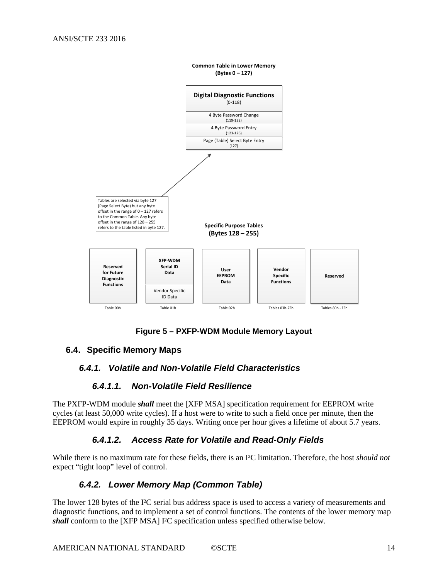



### <span id="page-13-3"></span><span id="page-13-1"></span><span id="page-13-0"></span>**6.4. Specific Memory Maps**

### *6.4.1. Volatile and Non-Volatile Field Characteristics*

### *6.4.1.1. Non-Volatile Field Resilience*

The PXFP-WDM module *shall* meet the [\[XFP MSA\]](#page-6-4) specification requirement for EEPROM write cycles (at least 50,000 write cycles). If a host were to write to such a field once per minute, then the EEPROM would expire in roughly 35 days. Writing once per hour gives a lifetime of about 5.7 years.

### *6.4.1.2. Access Rate for Volatile and Read-Only Fields*

<span id="page-13-2"></span>While there is no maximum rate for these fields, there is an I²C limitation. Therefore, the host *should not* expect "tight loop" level of control.

### *6.4.2. Lower Memory Map (Common Table)*

The lower 128 bytes of the I<sup>2</sup>C serial bus address space is used to access a variety of measurements and diagnostic functions, and to implement a set of control functions. The contents of the lower memory map *shall* conform to the [\[XFP MSA\]](#page-6-4) I²C specification unless specified otherwise below.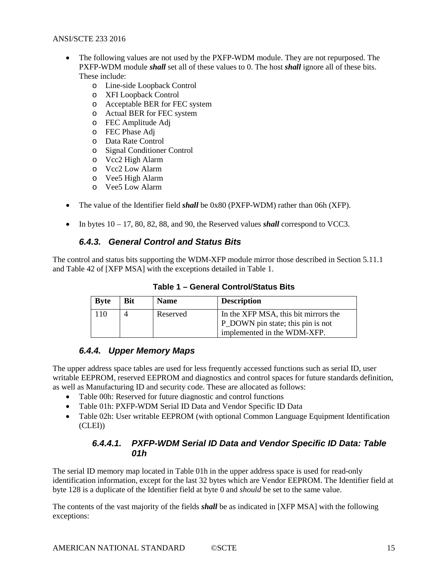- The following values are not used by the PXFP-WDM module. They are not repurposed. The PXFP-WDM module *shall* set all of these values to 0. The host *shall* ignore all of these bits. These include:
	- o Line-side Loopback Control
	- o XFI Loopback Control
	- o Acceptable BER for FEC system
	- o Actual BER for FEC system
	- o FEC Amplitude Adj
	- o FEC Phase Adj
	- o Data Rate Control
	- o Signal Conditioner Control
	- o Vcc2 High Alarm
	- o Vcc2 Low Alarm
	- o Vee5 High Alarm
	- o Vee5 Low Alarm
- The value of the Identifier field *shall* be 0x80 (PXFP-WDM) rather than 06h (XFP).
- <span id="page-14-0"></span>• In bytes  $10 - 17$ , 80, 82, 88, and 90, the Reserved values *shall* correspond to VCC3.

### *6.4.3. General Control and Status Bits*

<span id="page-14-2"></span>The control and status bits supporting the WDM-XFP module mirror those described in Section 5.11.1 and Table 42 of [\[XFP MSA\]](#page-6-4) with the exceptions detailed in [Table 1.](#page-14-2)

**Table 1 – General Control/Status Bits**

| <b>Byte</b> | <b>Bit</b> | <b>Name</b> | <b>Description</b>                                                                                       |
|-------------|------------|-------------|----------------------------------------------------------------------------------------------------------|
| 110         | 4          | Reserved    | In the XFP MSA, this bit mirrors the<br>P_DOWN pin state; this pin is not<br>implemented in the WDM-XFP. |

### *6.4.4. Upper Memory Maps*

<span id="page-14-1"></span>The upper address space tables are used for less frequently accessed functions such as serial ID, user writable EEPROM, reserved EEPROM and diagnostics and control spaces for future standards definition, as well as Manufacturing ID and security code. These are allocated as follows:

- Table 00h: Reserved for future diagnostic and control functions
- Table 01h: PXFP-WDM Serial ID Data and Vendor Specific ID Data
- Table 02h: User writable EEPROM (with optional Common Language Equipment Identification  $(CLED)$

#### *6.4.4.1. PXFP-WDM Serial ID Data and Vendor Specific ID Data: Table 01h*

The serial ID memory map located in Table 01h in the upper address space is used for read-only identification information, except for the last 32 bytes which are Vendor EEPROM. The Identifier field at byte 128 is a duplicate of the Identifier field at byte 0 and *should* be set to the same value.

The contents of the vast majority of the fields *shall* be as indicated in [\[XFP MSA\]](#page-6-4) with the following exceptions: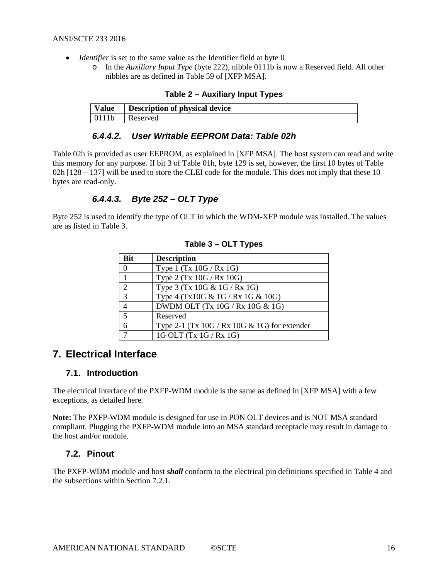- <span id="page-15-3"></span>• *Identifier* is set to the same value as the Identifier field at byte 0
	- o In the *Auxiliary Input Type* (byte 222), nibble 0111b is now a Reserved field. All other nibbles are as defined in Table 59 of [\[XFP MSA\].](#page-6-4)

| <b>Value</b> | Description of physical device |
|--------------|--------------------------------|
| 0111h        | Reserved                       |

## *6.4.4.2. User Writable EEPROM Data: Table 02h*

Table 02h is provided as user EEPROM, as explained in [\[XFP MSA\].](#page-6-4) The host system can read and write this memory for any purpose. If bit 3 of Table 01h, byte 129 is set, however, the first 10 bytes of Table 02h [128 – 137] will be used to store the CLEI code for the module. This does not imply that these 10 bytes are read-only.

### *6.4.4.3. Byte 252 – OLT Type*

<span id="page-15-4"></span>Byte 252 is used to identify the type of OLT in which the WDM-XFP module was installed. The values are as listed in [Table 3.](#page-15-4)

| <b>Bit</b>       | <b>Description</b>                             |
|------------------|------------------------------------------------|
| $\boldsymbol{0}$ | Type 1 $(Tx 10G / Rx 1G)$                      |
|                  | Type 2 (Tx 10G / Rx 10G)                       |
| 2                | Type 3 (Tx 10G $& 1G / Rx 1G$ )                |
| $\overline{3}$   | Type 4 (Tx10G $& 1G / Rx 1G & 10G$ )           |
|                  | DWDM OLT (Tx $10G / Rx 10G & 1G$ )             |
| $5\overline{)}$  | Reserved                                       |
| 6                | Type 2-1 (Tx $10G / Rx$ 10G & 1G) for extender |
|                  | $1G$ OLT (Tx $1G/Rx$ 1G)                       |

#### **Table 3 – OLT Types**

# <span id="page-15-0"></span>**7. Electrical Interface**

### <span id="page-15-1"></span>**7.1. Introduction**

The electrical interface of the PXFP-WDM module is the same as defined in [\[XFP MSA\]](#page-6-4) with a few exceptions, as detailed here.

**Note:** The PXFP-WDM module is designed for use in PON OLT devices and is NOT MSA standard compliant. Plugging the PXFP-WDM module into an MSA standard receptacle may result in damage to the host and/or module.

### <span id="page-15-2"></span>**7.2. Pinout**

The PXFP-WDM module and host *shall* conform to the electrical pin definitions specified in [Table 4](#page-16-0) and the subsections within Section [7.2.1.](#page-17-0)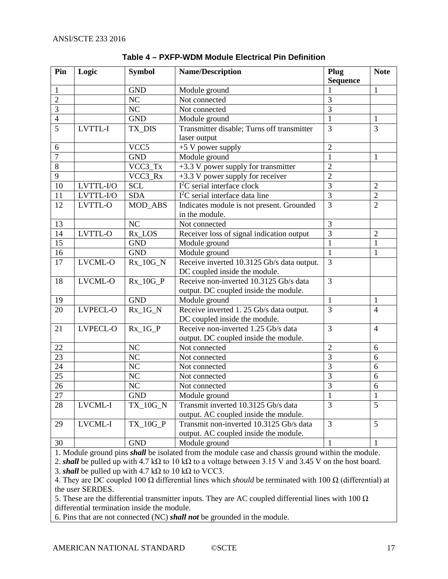<span id="page-16-0"></span>

| Pin             | Logic          | <b>Symbol</b>  | <b>Name/Description</b>                    | Plug           | <b>Note</b>    |
|-----------------|----------------|----------------|--------------------------------------------|----------------|----------------|
|                 |                |                |                                            | Sequence       |                |
| 1               |                | <b>GND</b>     | Module ground                              |                | 1              |
| $\overline{2}$  |                | NC             | Not connected                              | 3              |                |
| 3               |                | NC             | Not connected                              | 3              |                |
| $\overline{4}$  |                | <b>GND</b>     | Module ground                              | $\mathbf{1}$   | $\mathbf{1}$   |
| $\overline{5}$  | <b>LVTTL-I</b> | TX_DIS         | Transmitter disable; Turns off transmitter | $\overline{3}$ | $\overline{3}$ |
|                 |                |                | laser output                               |                |                |
| 6               |                | VCC5           | +5 V power supply                          | $\overline{2}$ |                |
| $\overline{7}$  |                | <b>GND</b>     | Module ground                              | $\mathbf{1}$   | 1              |
| 8               |                | VCC3_Tx        | $+3.3$ V power supply for transmitter      | $\overline{c}$ |                |
| 9               |                | VCC3_Rx        | $+3.3$ V power supply for receiver         | $\overline{c}$ |                |
| 10              | LVTTL-I/O      | <b>SCL</b>     | $I2C$ serial interface clock               | $\overline{3}$ | $\overline{2}$ |
| 11              | LVTTL-I/O      | <b>SDA</b>     | $I2C$ serial interface data line           | $\overline{3}$ | $\overline{2}$ |
| 12              | LVTTL-O        | MOD_ABS        | Indicates module is not present. Grounded  | $\overline{3}$ | $\overline{2}$ |
|                 |                |                | in the module.                             |                |                |
| 13              |                | NC             | Not connected                              | 3              |                |
| 14              | LVTTL-O        | $Rx\_LOS$      | Receiver loss of signal indication output  | $\overline{3}$ | $\overline{2}$ |
| 15              |                | <b>GND</b>     | Module ground                              | $\mathbf{1}$   | 1              |
| 16              |                | <b>GND</b>     | Module ground                              | $\mathbf{1}$   | $\mathbf{1}$   |
| 17              | LVCML-O        | $Rx_10G_N$     | Receive inverted 10.3125 Gb/s data output. | $\overline{3}$ |                |
|                 |                |                | DC coupled inside the module.              |                |                |
| 18              | LVCML-O        | $Rx_10G_P$     | Receive non-inverted 10.3125 Gb/s data     | 3              |                |
|                 |                |                | output. DC coupled inside the module.      |                |                |
| 19              |                | <b>GND</b>     | Module ground                              | $\mathbf{1}$   | 1              |
| 20              | LVPECL-O       | $Rx_1G_N$      | Receive inverted 1. 25 Gb/s data output.   | 3              | $\overline{4}$ |
|                 |                |                | DC coupled inside the module.              |                |                |
| 21              | LVPECL-O       | $Rx_1G_P$      | Receive non-inverted 1.25 Gb/s data        | 3              | $\overline{4}$ |
|                 |                |                | output. DC coupled inside the module.      |                |                |
| 22              |                | <b>NC</b>      | Not connected                              | $\overline{2}$ | 6              |
| 23              |                | NC             | Not connected                              | 3              | 6              |
| 24              |                | NC             | Not connected                              | 3              | 6              |
| 25              |                | NC             | Not connected                              | 3              | 6              |
| 26              |                | N <sub>C</sub> | Not connected                              | 3              | 6              |
| $\overline{27}$ |                | <b>GND</b>     | Module ground                              | $\mathbf 1$    | $\mathbf{1}$   |
| 28              | LVCML-I        | TX 10G N       | Transmit inverted 10.3125 Gb/s data        | $\overline{3}$ | $\overline{5}$ |
|                 |                |                | output. AC coupled inside the module.      |                |                |
| 29              | LVCML-I        | $TX_10G_P$     | Transmit non-inverted 10.3125 Gb/s data    | 3              | 5              |
|                 |                |                | output. AC coupled inside the module.      |                |                |
| 30              |                | <b>GND</b>     | $\overline{\text{Module}}$ ground          | $\mathbf{1}$   | $\mathbf{1}$   |

**Table 4 – PXFP-WDM Module Electrical Pin Definition**

1. Module ground pins *shall* be isolated from the module case and chassis ground within the module.

2. *shall* be pulled up with 4.7 kΩ to 10 kΩ to a voltage between 3.15 V and 3.45 V on the host board. 3. *shall* be pulled up with 4.7 kΩ to 10 kΩ to VCC3.

4. They are DC coupled 100 Ω differential lines which *should* be terminated with 100 Ω (differential) at the user SERDES.

5. These are the differential transmitter inputs. They are AC coupled differential lines with 100  $\Omega$ differential termination inside the module.

6. Pins that are not connected (NC) *shall not* be grounded in the module.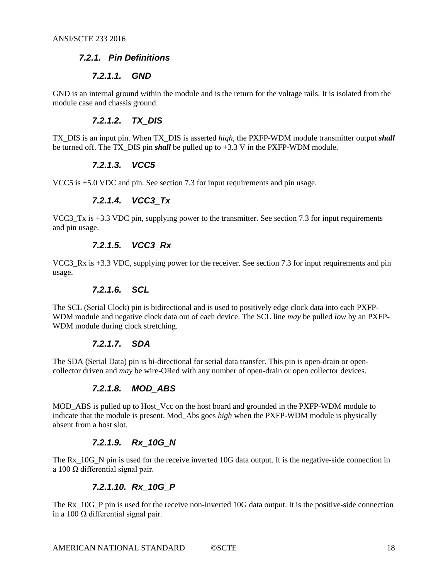#### <span id="page-17-0"></span>*7.2.1. Pin Definitions*

#### *7.2.1.1. GND*

GND is an internal ground within the module and is the return for the voltage rails. It is isolated from the module case and chassis ground.

#### *7.2.1.2. TX\_DIS*

TX\_DIS is an input pin. When TX\_DIS is asserted *high*, the PXFP-WDM module transmitter output *shall* be turned off. The TX\_DIS pin *shall* be pulled up to +3.3 V in the PXFP-WDM module.

#### *7.2.1.3. VCC5*

VCC5 is +5.0 VDC and pin. See section [7.3](#page-18-0) for input requirements and pin usage.

#### *7.2.1.4. VCC3\_Tx*

VCC3 Tx is +3.3 VDC pin, supplying power to the transmitter. See section [7.3](#page-18-0) for input requirements and pin usage.

#### *7.2.1.5. VCC3\_Rx*

VCC3 Rx is +3.3 VDC, supplying power for the receiver. See section [7.3](#page-18-0) for input requirements and pin usage.

#### *7.2.1.6. SCL*

The SCL (Serial Clock) pin is bidirectional and is used to positively edge clock data into each PXFP-WDM module and negative clock data out of each device. The SCL line *may* be pulled *low* by an PXFP-WDM module during clock stretching.

#### *7.2.1.7. SDA*

The SDA (Serial Data) pin is bi-directional for serial data transfer. This pin is open-drain or opencollector driven and *may* be wire-ORed with any number of open-drain or open collector devices.

#### *7.2.1.8. MOD\_ABS*

MOD\_ABS is pulled up to Host\_Vcc on the host board and grounded in the PXFP-WDM module to indicate that the module is present. Mod\_Abs goes *high* when the PXFP-WDM module is physically absent from a host slot.

#### *7.2.1.9. Rx\_10G\_N*

The Rx 10G N pin is used for the receive inverted 10G data output. It is the negative-side connection in a 100 Ω differential signal pair.

#### *7.2.1.10. Rx\_10G\_P*

The Rx 10G P pin is used for the receive non-inverted 10G data output. It is the positive-side connection in a 100 Ω differential signal pair.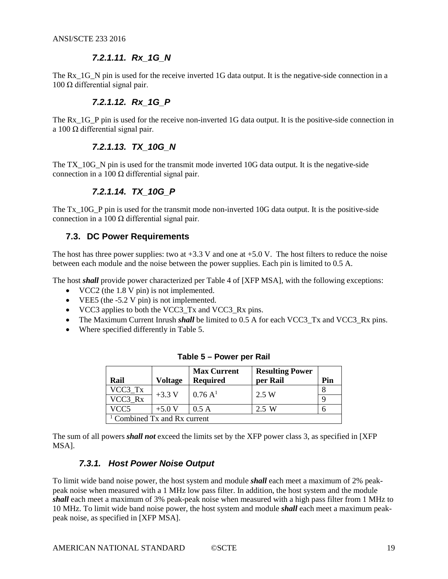### *7.2.1.11. Rx\_1G\_N*

The Rx 1G, N pin is used for the receive inverted 1G data output. It is the negative-side connection in a 100 Ω differential signal pair.

# *7.2.1.12. Rx\_1G\_P*

The Rx\_1G\_P pin is used for the receive non-inverted 1G data output. It is the positive-side connection in a 100 Ω differential signal pair.

## *7.2.1.13. TX\_10G\_N*

The TX\_10G\_N pin is used for the transmit mode inverted 10G data output. It is the negative-side connection in a 100 Ω differential signal pair.

## *7.2.1.14. TX\_10G\_P*

The Tx\_10G\_P pin is used for the transmit mode non-inverted 10G data output. It is the positive-side connection in a 100 Ω differential signal pair.

### <span id="page-18-0"></span>**7.3. DC Power Requirements**

The host has three power supplies: two at  $+3.3$  V and one at  $+5.0$  V. The host filters to reduce the noise between each module and the noise between the power supplies. Each pin is limited to 0.5 A.

The host *shall* provide power characterized per Table 4 of [\[XFP MSA\],](#page-6-4) with the following exceptions:

- VCC2 (the 1.8 V pin) is not implemented.
- VEE5 (the -5.2 V pin) is not implemented.
- VCC3 applies to both the VCC3\_Tx and VCC3\_Rx pins.
- The Maximum Current Inrush *shall* be limited to 0.5 A for each VCC3 Tx and VCC3 Rx pins.
- <span id="page-18-2"></span>• Where specified differently in [Table](#page-18-2) 5.

| Rail                           | <b>Voltage</b> | <b>Max Current</b><br><b>Required</b> | <b>Resulting Power</b><br>per Rail | Pin |  |  |
|--------------------------------|----------------|---------------------------------------|------------------------------------|-----|--|--|
| VCC3 Tx                        | $+3.3 V$       | $0.76\,\mathrm{A}^{1}$                | 2.5 W                              |     |  |  |
| VCC3 Rx                        |                |                                       |                                    |     |  |  |
| VCC5                           | $+5.0 V$       | 0.5A                                  | 2.5 W                              |     |  |  |
| $1$ Combined Tx and Rx current |                |                                       |                                    |     |  |  |

|  |  |  | Table 5 – Power per Rail |  |  |
|--|--|--|--------------------------|--|--|
|--|--|--|--------------------------|--|--|

<span id="page-18-1"></span>The sum of all powers *shall not* exceed the limits set by the XFP power class 3, as specified in [\[XFP](#page-6-4)  [MSA\].](#page-6-4)

## *7.3.1. Host Power Noise Output*

To limit wide band noise power, the host system and module *shall* each meet a maximum of 2% peakpeak noise when measured with a 1 MHz low pass filter. In addition, the host system and the module *shall* each meet a maximum of 3% peak-peak noise when measured with a high pass filter from 1 MHz to 10 MHz. To limit wide band noise power, the host system and module *shall* each meet a maximum peakpeak noise, as specified in [\[XFP MSA\].](#page-6-4)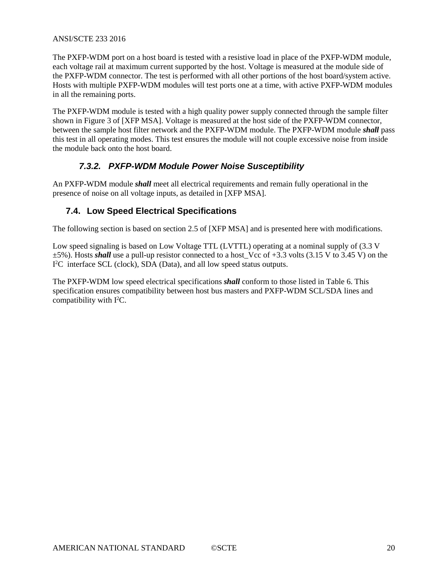The PXFP-WDM port on a host board is tested with a resistive load in place of the PXFP-WDM module, each voltage rail at maximum current supported by the host. Voltage is measured at the module side of the PXFP-WDM connector. The test is performed with all other portions of the host board/system active. Hosts with multiple PXFP-WDM modules will test ports one at a time, with active PXFP-WDM modules in all the remaining ports.

The PXFP-WDM module is tested with a high quality power supply connected through the sample filter shown in Figure 3 of [\[XFP MSA\].](#page-6-4) Voltage is measured at the host side of the PXFP-WDM connector, between the sample host filter network and the PXFP-WDM module. The PXFP-WDM module *shall* pass this test in all operating modes. This test ensures the module will not couple excessive noise from inside the module back onto the host board.

## *7.3.2. PXFP-WDM Module Power Noise Susceptibility*

<span id="page-19-0"></span>An PXFP-WDM module *shall* meet all electrical requirements and remain fully operational in the presence of noise on all voltage inputs, as detailed in [\[XFP MSA\].](#page-6-4)

# <span id="page-19-1"></span>**7.4. Low Speed Electrical Specifications**

The following section is based on section 2.5 of [\[XFP MSA\]](#page-6-4) and is presented here with modifications.

Low speed signaling is based on Low Voltage TTL (LVTTL) operating at a nominal supply of (3.3 V ±5%). Hosts *shall* use a pull-up resistor connected to a host\_Vcc of +3.3 volts (3.15 V to 3.45 V) on the I<sup>2</sup>C interface SCL (clock), SDA (Data), and all low speed status outputs.

The PXFP-WDM low speed electrical specifications *shall* conform to those listed in [Table 6.](#page-20-1) This specification ensures compatibility between host bus masters and PXFP-WDM SCL/SDA lines and compatibility with  $I<sup>2</sup>C$ .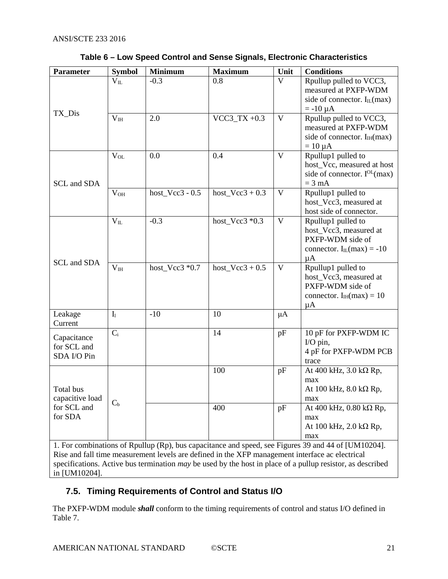<span id="page-20-1"></span>

| <b>Parameter</b>               | <b>Symbol</b>   | <b>Minimum</b>    | <b>Maximum</b>    | Unit         | <b>Conditions</b>                                                                                   |
|--------------------------------|-----------------|-------------------|-------------------|--------------|-----------------------------------------------------------------------------------------------------|
|                                | $V_{IL}$        | $-0.3$            | 0.8               | V            | Rpullup pulled to VCC3,                                                                             |
|                                |                 |                   |                   |              | measured at PXFP-WDM                                                                                |
|                                |                 |                   |                   |              | side of connector. $I_{IL}(max)$                                                                    |
| TX_Dis                         |                 |                   |                   |              | $= -10 \mu A$                                                                                       |
|                                | V <sub>IH</sub> | 2.0               | $VCC3_TX +0.3$    | $\mathbf{V}$ | Rpullup pulled to VCC3,                                                                             |
|                                |                 |                   |                   |              | measured at PXFP-WDM                                                                                |
|                                |                 |                   |                   |              | side of connector. $I_{IH}$ (max)                                                                   |
|                                |                 |                   |                   |              | $= 10 \mu A$                                                                                        |
|                                | $V_{OL}$        | 0.0               | 0.4               | $\mathbf{V}$ | Rpullup1 pulled to                                                                                  |
|                                |                 |                   |                   |              | host_Vcc, measured at host                                                                          |
|                                |                 |                   |                   |              | side of connector. $I^{OL}(max)$                                                                    |
| SCL and SDA                    |                 |                   |                   |              | $= 3$ mA                                                                                            |
|                                | $V_{OH}$        | host_Vcc3 - $0.5$ | host_Vcc3 + $0.3$ | $\mathbf V$  | Rpullup1 pulled to                                                                                  |
|                                |                 |                   |                   |              | host_Vcc3, measured at                                                                              |
|                                |                 |                   |                   |              | host side of connector.                                                                             |
|                                | $\rm V_{II}$    | $-0.3$            | host_Vcc3 $*0.3$  | V            | Rpullup1 pulled to                                                                                  |
|                                |                 |                   |                   |              | host_Vcc3, measured at                                                                              |
|                                |                 |                   |                   |              | PXFP-WDM side of                                                                                    |
|                                |                 |                   |                   |              | connector. $I_{IL}(max) = -10$                                                                      |
| SCL and SDA                    |                 |                   |                   |              | $\mu A$                                                                                             |
|                                | $\bar{V}_{IH}$  | host_Vcc3 *0.7    | host_Vcc3 + $0.5$ | $\mathbf{V}$ | Rpullup1 pulled to                                                                                  |
|                                |                 |                   |                   |              | host Vcc3, measured at                                                                              |
|                                |                 |                   |                   |              | PXFP-WDM side of                                                                                    |
|                                |                 |                   |                   |              | connector. $I_{IH}(max) = 10$                                                                       |
|                                |                 |                   |                   |              | $\mu A$                                                                                             |
| Leakage                        | I <sub>1</sub>  | $-10$             | 10                | μA           |                                                                                                     |
| Current                        |                 |                   |                   |              |                                                                                                     |
| Capacitance                    | $C_i$           |                   | 14                | pF           | 10 pF for PXFP-WDM IC                                                                               |
| for SCL and                    |                 |                   |                   |              | I/O pin,                                                                                            |
| SDA I/O Pin                    |                 |                   |                   |              | 4 pF for PXFP-WDM PCB                                                                               |
|                                |                 |                   |                   |              | trace                                                                                               |
|                                |                 |                   | 100               | pF           | At 400 kHz, $3.0$ k $\Omega$ Rp,                                                                    |
| Total bus                      |                 |                   |                   |              | max<br>At 100 kHz, $8.0$ k $\Omega$ Rp,                                                             |
|                                |                 |                   |                   |              | max                                                                                                 |
| capacitive load<br>for SCL and | $C_{b}$         |                   | 400               | pF           | At 400 kHz, $0.80$ k $\Omega$ Rp,                                                                   |
| for SDA                        |                 |                   |                   |              | max                                                                                                 |
|                                |                 |                   |                   |              | At 100 kHz, $2.0$ k $\Omega$ Rp,                                                                    |
|                                |                 |                   |                   |              | max                                                                                                 |
|                                |                 |                   |                   |              | 1. For combinations of Rpullup (Rp), bus capacitance and speed, see Figures 39 and 44 of [UM10204]. |
|                                |                 |                   |                   |              | Rise and fall time measurement levels are defined in the XFP management interface ac electrical     |

#### **Table 6 – Low Speed Control and Sense Signals, Electronic Characteristics**

Rise and fall time measurement levels are defined in the XFP management interface ac electrical specifications. Active bus termination *may* be used by the host in place of a pullup resistor, as described in [\[UM10204\].](#page-6-5)

# <span id="page-20-0"></span>**7.5. Timing Requirements of Control and Status I/O**

The PXFP-WDM module *shall* conform to the timing requirements of control and status I/O defined in [Table 7.](#page-21-5)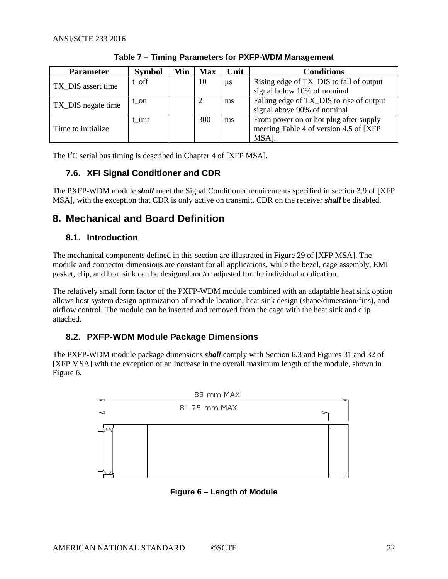<span id="page-21-5"></span>

| <b>Parameter</b>    | <b>Symbol</b> | Min | <b>Max</b> | Unit    | <b>Conditions</b>                        |
|---------------------|---------------|-----|------------|---------|------------------------------------------|
| TX DIS assert time  | t off         |     | 10         | $\mu$ s | Rising edge of TX_DIS to fall of output  |
|                     |               |     |            |         | signal below 10% of nominal              |
| TX_DIS negate time  | t on          |     | 2          | ms      | Falling edge of TX_DIS to rise of output |
|                     |               |     |            |         | signal above 90% of nominal              |
|                     | t init        |     | 300        | ms      | From power on or hot plug after supply   |
| Time to initialize. |               |     |            |         | meeting Table 4 of version 4.5 of [XFP]  |
|                     |               |     |            |         | MSA].                                    |

**Table 7 – Timing Parameters for PXFP-WDM Management**

<span id="page-21-0"></span>The I<sup>2</sup>C serial bus timing is described in Chapter 4 of [\[XFP MSA\].](#page-6-4)

# **7.6. XFI Signal Conditioner and CDR**

The PXFP-WDM module *shall* meet the Signal Conditioner requirements specified in section 3.9 of [\[XFP](#page-6-4)  [MSA\],](#page-6-4) with the exception that CDR is only active on transmit. CDR on the receiver *shall* be disabled.

# <span id="page-21-1"></span>**8. Mechanical and Board Definition**

## <span id="page-21-2"></span>**8.1. Introduction**

The mechanical components defined in this section are illustrated in Figure 29 of [\[XFP MSA\].](#page-6-4) The module and connector dimensions are constant for all applications, while the bezel, cage assembly, EMI gasket, clip, and heat sink can be designed and/or adjusted for the individual application.

The relatively small form factor of the PXFP-WDM module combined with an adaptable heat sink option allows host system design optimization of module location, heat sink design (shape/dimension/fins), and airflow control. The module can be inserted and removed from the cage with the heat sink and clip attached.

# <span id="page-21-3"></span>**8.2. PXFP-WDM Module Package Dimensions**

The PXFP-WDM module package dimensions *shall* comply with Section 6.3 and Figures 31 and 32 of [\[XFP MSA\]](#page-6-4) with the exception of an increase in the overall maximum length of the module, shown in [Figure 6.](#page-21-4)

<span id="page-21-4"></span>

**Figure 6 – Length of Module**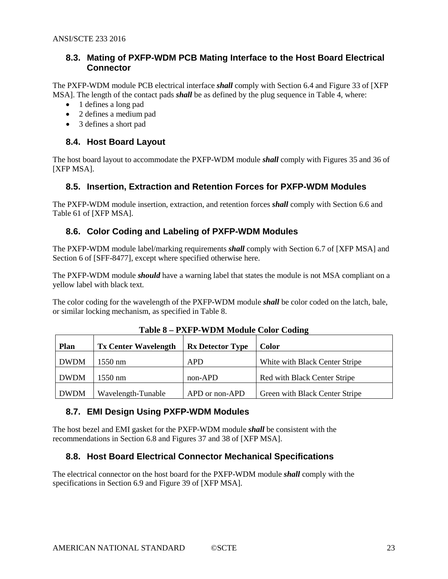### <span id="page-22-0"></span>**8.3. Mating of PXFP-WDM PCB Mating Interface to the Host Board Electrical Connector**

The PXFP-WDM module PCB electrical interface *shall* comply with Section 6.4 and Figure 33 of [\[XFP](#page-6-4)  [MSA\].](#page-6-4) The length of the contact pads *shall* be as defined by the plug sequence in [Table 4,](#page-16-0) where:

- 1 defines a long pad
- 2 defines a medium pad
- 3 defines a short pad

### <span id="page-22-1"></span>**8.4. Host Board Layout**

The host board layout to accommodate the PXFP-WDM module *shall* comply with Figures 35 and 36 of [\[XFP MSA\].](#page-6-4)

### <span id="page-22-2"></span>**8.5. Insertion, Extraction and Retention Forces for PXFP-WDM Modules**

The PXFP-WDM module insertion, extraction, and retention forces *shall* comply with Section 6.6 and Table 61 of [\[XFP MSA\].](#page-6-4)

## <span id="page-22-3"></span>**8.6. Color Coding and Labeling of PXFP-WDM Modules**

The PXFP-WDM module label/marking requirements *shall* comply with Section 6.7 of [\[XFP MSA\]](#page-6-4) and Section 6 of [\[SFF-8477\],](#page-6-6) except where specified otherwise here.

The PXFP-WDM module *should* have a warning label that states the module is not MSA compliant on a yellow label with black text.

<span id="page-22-6"></span>The color coding for the wavelength of the PXFP-WDM module *shall* be color coded on the latch, bale, or similar locking mechanism, as specified in [Table 8.](#page-22-6)

| <b>Plan</b> | <b>Tx Center Wavelength</b> | <b>Rx Detector Type</b> | <b>Color</b>                   |
|-------------|-----------------------------|-------------------------|--------------------------------|
| <b>DWDM</b> | $1550 \text{ nm}$           | <b>APD</b>              | White with Black Center Stripe |
| <b>DWDM</b> | $1550 \text{ nm}$           | non-APD                 | Red with Black Center Stripe   |
| <b>DWDM</b> | Wavelength-Tunable          | APD or non-APD          | Green with Black Center Stripe |

**Table 8 – PXFP-WDM Module Color Coding**

### <span id="page-22-4"></span>**8.7. EMI Design Using PXFP-WDM Modules**

The host bezel and EMI gasket for the PXFP-WDM module *shall* be consistent with the recommendations in Section 6.8 and Figures 37 and 38 of [\[XFP MSA\].](#page-6-4)

### <span id="page-22-5"></span>**8.8. Host Board Electrical Connector Mechanical Specifications**

The electrical connector on the host board for the PXFP-WDM module *shall* comply with the specifications in Section 6.9 and Figure 39 of [\[XFP MSA\].](#page-6-4)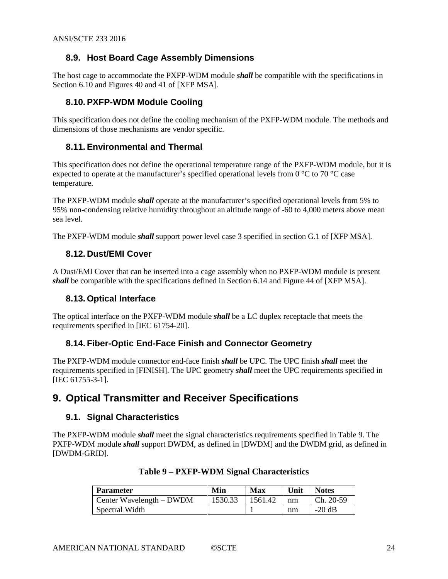## <span id="page-23-0"></span>**8.9. Host Board Cage Assembly Dimensions**

The host cage to accommodate the PXFP-WDM module *shall* be compatible with the specifications in Section 6.10 and Figures 40 and 41 of [\[XFP MSA\].](#page-6-4)

## <span id="page-23-1"></span>**8.10. PXFP-WDM Module Cooling**

This specification does not define the cooling mechanism of the PXFP-WDM module. The methods and dimensions of those mechanisms are vendor specific.

### <span id="page-23-2"></span>**8.11. Environmental and Thermal**

This specification does not define the operational temperature range of the PXFP-WDM module, but it is expected to operate at the manufacturer's specified operational levels from 0  $^{\circ}$ C to 70  $^{\circ}$ C case temperature.

The PXFP-WDM module *shall* operate at the manufacturer's specified operational levels from 5% to 95% non-condensing relative humidity throughout an altitude range of -60 to 4,000 meters above mean sea level.

<span id="page-23-3"></span>The PXFP-WDM module *shall* support power level case 3 specified in section G.1 o[f \[XFP MSA\].](#page-6-4)

#### **8.12. Dust/EMI Cover**

A Dust/EMI Cover that can be inserted into a cage assembly when no PXFP-WDM module is present *shall* be compatible with the specifications defined in Section 6.14 and Figure 44 of [\[XFP MSA\].](#page-6-4)

#### <span id="page-23-4"></span>**8.13. Optical Interface**

The optical interface on the PXFP-WDM module *shall* be a LC duplex receptacle that meets the requirements specified in [\[IEC 61754-20\].](#page-6-7)

### <span id="page-23-5"></span>**8.14. Fiber-Optic End-Face Finish and Connector Geometry**

The PXFP-WDM module connector end-face finish *shall* be UPC. The UPC finish *shall* meet the requirements specified in [\[FINISH\].](#page-6-8) The UPC geometry *shall* meet the UPC requirements specified in [\[IEC 61755-3-1\].](#page-6-9)

# <span id="page-23-6"></span>**9. Optical Transmitter and Receiver Specifications**

### <span id="page-23-7"></span>**9.1. Signal Characteristics**

<span id="page-23-8"></span>The PXFP-WDM module *shall* meet the signal characteristics requirements specified in [Table 9.](#page-23-8) The PXFP-WDM module *shall* support DWDM, as defined in [\[DWDM\]](#page-6-10) and the DWDM grid, as defined in [\[DWDM-GRID\].](#page-6-11)

| <b>Parameter</b>         | Min     | Max     | Unit | <b>Notes</b> |
|--------------------------|---------|---------|------|--------------|
| Center Wavelength – DWDM | 1530.33 | 1561.42 | nm   | $Ch. 20-59$  |
| Spectral Width           |         |         | nm   | $-20$ dB     |

#### **Table 9 – PXFP-WDM Signal Characteristics**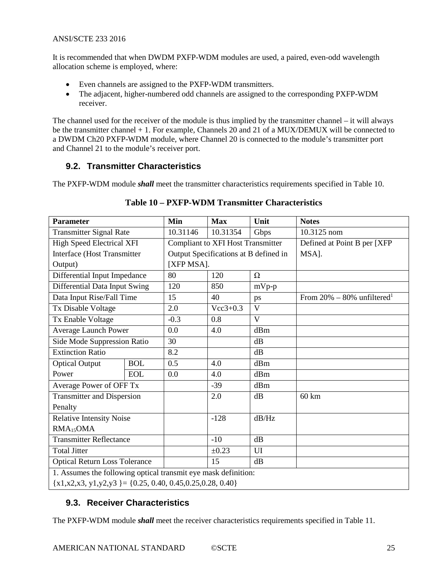It is recommended that when DWDM PXFP-WDM modules are used, a paired, even-odd wavelength allocation scheme is employed, where:

- Even channels are assigned to the PXFP-WDM transmitters.
- The adjacent, higher-numbered odd channels are assigned to the corresponding PXFP-WDM receiver.

The channel used for the receiver of the module is thus implied by the transmitter channel – it will always be the transmitter channel + 1. For example, Channels 20 and 21 of a MUX/DEMUX will be connected to a DWDM Ch20 PXFP-WDM module, where Channel 20 is connected to the module's transmitter port and Channel 21 to the module's receiver port.

## <span id="page-24-0"></span>**9.2. Transmitter Characteristics**

<span id="page-24-2"></span>The PXFP-WDM module *shall* meet the transmitter characteristics requirements specified in [Table 10.](#page-24-2)

| <b>Parameter</b>                                               |            | Min                                      | <b>Max</b>                            | Unit                         | <b>Notes</b>                               |
|----------------------------------------------------------------|------------|------------------------------------------|---------------------------------------|------------------------------|--------------------------------------------|
| <b>Transmitter Signal Rate</b>                                 | 10.31146   | 10.31354                                 | Gbps                                  | 10.3125 nom                  |                                            |
| <b>High Speed Electrical XFI</b>                               |            | <b>Compliant to XFI Host Transmitter</b> |                                       | Defined at Point B per [XFP] |                                            |
| Interface (Host Transmitter                                    |            |                                          | Output Specifications at B defined in |                              | MSA].                                      |
| Output)                                                        |            | [XFP MSA].                               |                                       |                              |                                            |
| Differential Input Impedance                                   |            | 80                                       | 120                                   | $\Omega$                     |                                            |
| Differential Data Input Swing                                  |            | 120                                      | 850                                   | $mVp-p$                      |                                            |
| Data Input Rise/Fall Time                                      |            | 15                                       | 40                                    | ps                           | From $20\% - 80\%$ unfiltered <sup>1</sup> |
| Tx Disable Voltage                                             |            | 2.0                                      | $Vec3+0.3$                            | V                            |                                            |
| Tx Enable Voltage                                              |            | $-0.3$                                   | 0.8                                   | V                            |                                            |
| <b>Average Launch Power</b>                                    |            | 0.0                                      | 4.0                                   | dBm                          |                                            |
| Side Mode Suppression Ratio                                    |            | 30                                       |                                       | dB                           |                                            |
| <b>Extinction Ratio</b>                                        |            | 8.2                                      |                                       | dB                           |                                            |
| <b>Optical Output</b>                                          | <b>BOL</b> | 0.5                                      | 4.0                                   | dBm                          |                                            |
| Power                                                          | <b>EOL</b> | 0.0                                      | 4.0                                   | dBm                          |                                            |
| Average Power of OFF Tx                                        |            |                                          | $-39$                                 | dBm                          |                                            |
| <b>Transmitter and Dispersion</b>                              |            |                                          | 2.0                                   | dB                           | $60 \text{ km}$                            |
| Penalty                                                        |            |                                          |                                       |                              |                                            |
| <b>Relative Intensity Noise</b>                                |            |                                          | $-128$                                | dB/Hz                        |                                            |
| RMA <sub>15</sub> OMA                                          |            |                                          |                                       |                              |                                            |
| <b>Transmitter Reflectance</b>                                 |            |                                          | $-10$                                 | dB                           |                                            |
| <b>Total Jitter</b>                                            |            |                                          | $\pm 0.23$                            | UI                           |                                            |
| <b>Optical Return Loss Tolerance</b>                           |            |                                          | 15                                    | dB                           |                                            |
| 1. Assumes the following optical transmit eye mask definition: |            |                                          |                                       |                              |                                            |
| ${x1,x2,x3, y1,y2,y3 } = {0.25, 0.40, 0.45, 0.25, 0.28, 0.40}$ |            |                                          |                                       |                              |                                            |

### **Table 10 – PXFP-WDM Transmitter Characteristics**

# <span id="page-24-1"></span>**9.3. Receiver Characteristics**

The PXFP-WDM module *shall* meet the receiver characteristics requirements specified in [Table 11.](#page-25-0)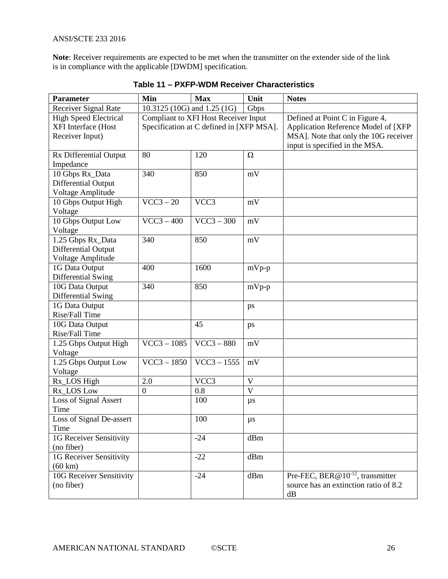<span id="page-25-0"></span>**Note**: Receiver requirements are expected to be met when the transmitter on the extender side of the link is in compliance with the applicable [\[DWDM\]](#page-6-10) specification.

| <b>Parameter</b>                | Min                         | <b>Max</b>                               | Unit           | <b>Notes</b>                            |
|---------------------------------|-----------------------------|------------------------------------------|----------------|-----------------------------------------|
| Receiver Signal Rate            | 10.3125 (10G) and 1.25 (1G) |                                          | Gbps           |                                         |
| <b>High Speed Electrical</b>    |                             | Compliant to XFI Host Receiver Input     |                | Defined at Point C in Figure 4,         |
| XFI Interface (Host             |                             | Specification at C defined in [XFP MSA]. |                | Application Reference Model of [XFP     |
| Receiver Input)                 |                             |                                          |                | MSA]. Note that only the 10G receiver   |
|                                 |                             |                                          |                | input is specified in the MSA.          |
| Rx Differential Output          | 80                          | 120                                      | $\Omega$       |                                         |
| Impedance                       |                             |                                          |                |                                         |
| 10 Gbps Rx_Data                 | 340                         | 850                                      | mV             |                                         |
| Differential Output             |                             |                                          |                |                                         |
| Voltage Amplitude               |                             |                                          |                |                                         |
| 10 Gbps Output High             | $VCC3 - 20$                 | VCC3                                     | mV             |                                         |
| Voltage                         |                             |                                          |                |                                         |
| 10 Gbps Output Low              | $VCC3 - 400$                | $VCC3 - 300$                             | mV             |                                         |
| Voltage                         |                             |                                          |                |                                         |
| 1.25 Gbps Rx_Data               | 340                         | 850                                      | mV             |                                         |
| Differential Output             |                             |                                          |                |                                         |
| Voltage Amplitude               |                             |                                          |                |                                         |
| 1G Data Output                  | 400                         | 1600                                     | $mVp-p$        |                                         |
| Differential Swing              |                             |                                          |                |                                         |
| 10G Data Output                 | 340                         | 850                                      | $mVp-p$        |                                         |
| Differential Swing              |                             |                                          |                |                                         |
| 1G Data Output                  |                             |                                          | ps             |                                         |
| Rise/Fall Time                  |                             |                                          |                |                                         |
| 10G Data Output                 |                             | 45                                       | ps             |                                         |
| Rise/Fall Time                  |                             |                                          |                |                                         |
| 1.25 Gbps Output High           | $VCC3 - 1085$               | $VCC3 - 880$                             | mV             |                                         |
| Voltage                         |                             |                                          |                |                                         |
| 1.25 Gbps Output Low            | $\overline{VCC3} - 1850$    | $\overline{VCC}$ 3 – 1555                | $\rm mV$       |                                         |
| Voltage                         |                             |                                          |                |                                         |
| Rx_LOS High                     | 2.0                         | VCC3                                     | $\mathbf{V}$   |                                         |
| Rx_LOS Low                      | $\overline{0}$              | 0.8                                      | $\overline{V}$ |                                         |
| Loss of Signal Assert           |                             | 100                                      | $\mu s$        |                                         |
| Time                            |                             |                                          |                |                                         |
| Loss of Signal De-assert        |                             | 100                                      | $\mu s$        |                                         |
| Time                            |                             |                                          |                |                                         |
| 1G Receiver Sensitivity         |                             | $-24$                                    | dBm            |                                         |
| (no fiber)                      |                             |                                          |                |                                         |
| 1G Receiver Sensitivity         |                             | $-22$                                    | dBm            |                                         |
| $(60 \text{ km})$               |                             |                                          |                |                                         |
| <b>10G Receiver Sensitivity</b> |                             | $-24$                                    | dBm            | Pre-FEC, BER @ $10^{-12}$ , transmitter |
| (no fiber)                      |                             |                                          |                | source has an extinction ratio of 8.2   |
|                                 |                             |                                          |                | dB                                      |

**Table 11 – PXFP-WDM Receiver Characteristics**